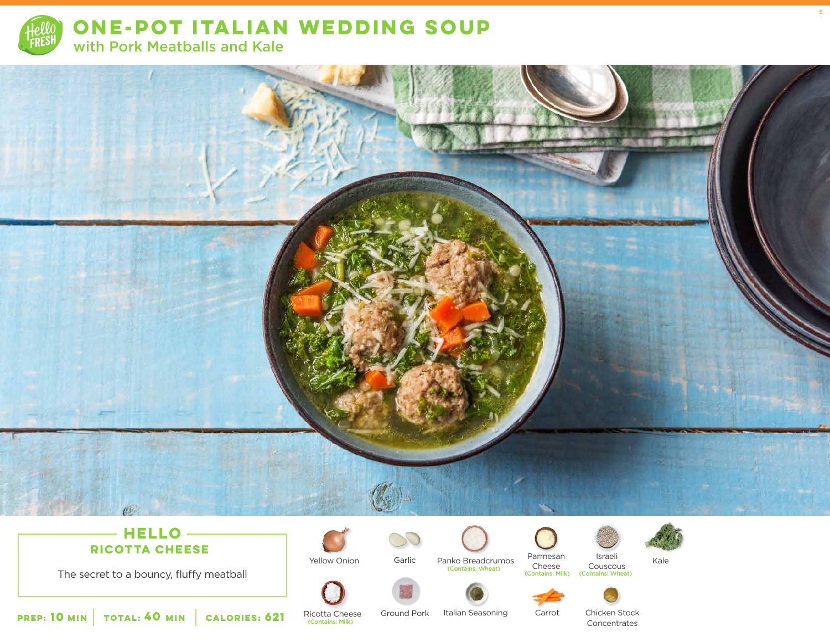

**ONE-POT ITALIAN WEDDING SOUP**  with Pork Meatballs and Kale



The secret to a bouncy, fluffy meatball

Ricotta Cheese



Yellow Onion Garlic Panko Breadcrumbs

(Contains: Wheat)

Parmesan Israeli Kale Cheese<br>
(Contains: Milk) Israeli Couscous (Contains: Wheat)

Ground Pork Italian Seasoning Carrot Chicken Stock

**Concentrates** 

**10** MIN | TOTAL: **40** MIN | CALORIES: **CALORIES: 621** Ricotta Chees 5